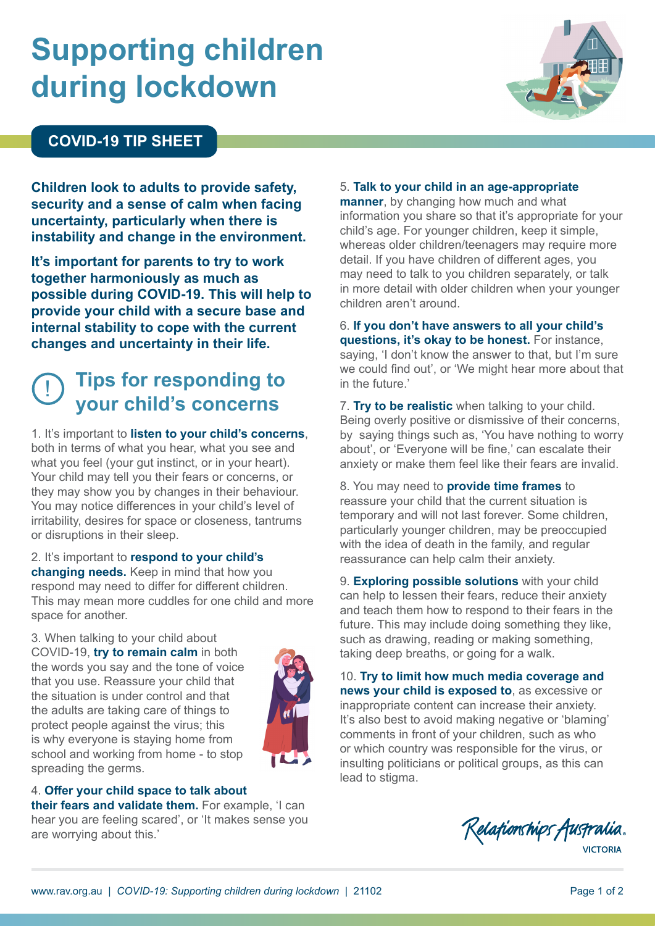# **Supporting children during lockdown**



**Children look to adults to provide safety, security and a sense of calm when facing uncertainty, particularly when there is instability and change in the environment.**

**It's important for parents to try to work together harmoniously as much as possible during COVID-19. This will help to provide your child with a secure base and internal stability to cope with the current changes and uncertainty in their life.** 

## ! **Tips for responding to your child's concerns**

1. It's important to **listen to your child's concerns**, both in terms of what you hear, what you see and what you feel (your gut instinct, or in your heart). Your child may tell you their fears or concerns, or they may show you by changes in their behaviour. You may notice differences in your child's level of irritability, desires for space or closeness, tantrums or disruptions in their sleep.

2. It's important to **respond to your child's changing needs.** Keep in mind that how you respond may need to differ for different children. This may mean more cuddles for one child and more space for another.

3. When talking to your child about COVID-19, **try to remain calm** in both the words you say and the tone of voice that you use. Reassure your child that the situation is under control and that the adults are taking care of things to protect people against the virus; this is why everyone is staying home from school and working from home - to stop spreading the germs.



#### 4. **Offer your child space to talk about**

**their fears and validate them.** For example, 'I can hear you are feeling scared', or 'It makes sense you are worrying about this.'

#### 5. **Talk to your child in an age-appropriate**

**manner**, by changing how much and what information you share so that it's appropriate for your child's age. For younger children, keep it simple, whereas older children/teenagers may require more detail. If you have children of different ages, you may need to talk to you children separately, or talk in more detail with older children when your younger children aren't around.

6. **If you don't have answers to all your child's questions, it's okay to be honest.** For instance, saying, 'I don't know the answer to that, but I'm sure we could find out', or 'We might hear more about that in the future.'

7. **Try to be realistic** when talking to your child. Being overly positive or dismissive of their concerns, by saying things such as, 'You have nothing to worry about', or 'Everyone will be fine,' can escalate their anxiety or make them feel like their fears are invalid.

8. You may need to **provide time frames** to reassure your child that the current situation is temporary and will not last forever. Some children, particularly younger children, may be preoccupied with the idea of death in the family, and regular reassurance can help calm their anxiety.

9. **Exploring possible solutions** with your child can help to lessen their fears, reduce their anxiety and teach them how to respond to their fears in the future. This may include doing something they like, such as drawing, reading or making something, taking deep breaths, or going for a walk.

10. **Try to limit how much media coverage and news your child is exposed to**, as excessive or inappropriate content can increase their anxiety. It's also best to avoid making negative or 'blaming' comments in front of your children, such as who or which country was responsible for the virus, or insulting politicians or political groups, as this can lead to stigma.

Relationships Australia